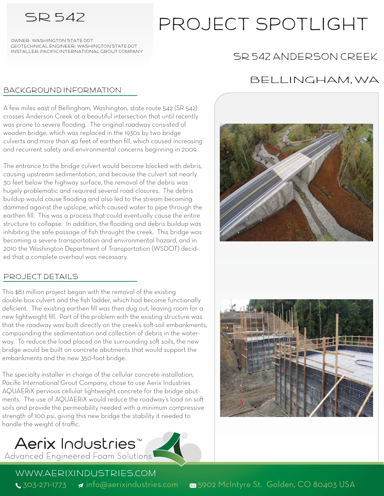# SR 542 project spotlight

OWnEr: Washington State DOT Installer: Pacific International Grout Company Geotechnical Engineer: Washington State DOT

# SR 542 Anderson Creek

### bACKGROUND iNFORMATION

A few miles east of Bellingham, Washington, state route 542 (SR 542) crosses Anderson Creek at a beautiful intersection that until recently was prone to severe flooding. The original roadway consisted of wooden bridge, which was replaced in the 1930s by two bridge culverts and more than 40 feet of earthen fill, which caused increasing and recurrent safety and environmental concerns beginning in 2009.

The entrance to the bridge culvert would become blocked with debris, causing upstream sedimentation, and because the culvert sat nearly 30 feet below the highway surface, the removal of the debris was hugely problematic and required several road closures. The debris buildup would cause flooding and also led to the stream becoming dammed against the upslope, which caused water to pipe through the earthen fill. This was a process that could eventually cause the entire structure to collapse. In addition, the flooding and debris buildup was inhibiting the safe passage of fish throught the creek. This bridge was becoming a severe transportation and environmental hazard, and in 2010 the Washington Department of Transportation (WSDOT) decided that a complete overhaul was necessary.

## Project details

This \$8.1 million project began with the removal of the existing double-box culvert and the fish ladder, which had become functionally deficient. The existing earthen fill was then dug out, leaving room for a new lightweight fill. Part of the problem with the existing structure was that the roadway was built directly on the creek's soft-soil embankments, compounding the sedimentation and collection of debris in the waterway. To reduce the load placed on the surrounding soft soils, the new bridge would be built on concrete abutments that would support the embankments and the new 350-foot bridge.

The specialty installer in charge of the cellular concrete installation, Pacific International Grout Company, chose to use Aerix Industries AQUAERiX pervious cellular lightweight concrete for the bridge abutments. The use of AQUAERiX would reduce the roadway's load on so soils and provide the permeability needed with a minimum compressive strength of 100 psi, giving this new bridge the stability it needed to handle the weight of traffic.

# Aerix Industries™ Advanced Engineered Foam Solutions



## Bellingham, WA





www.aerixindustries.com

1303-271-1773 a info@aerixindustries.com 5902 McIntyre St. Golden, CO 80403 USA